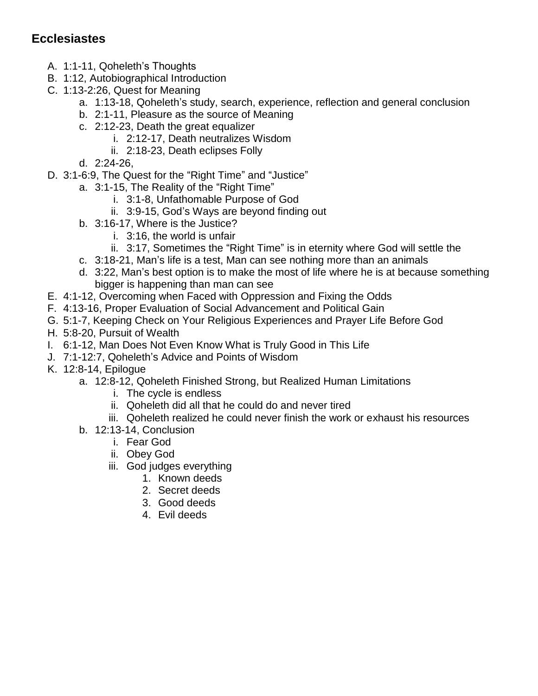## **Ecclesiastes**

- A. 1:1-11, Qoheleth's Thoughts
- B. 1:12, Autobiographical Introduction
- C. 1:13-2:26, Quest for Meaning
	- a. 1:13-18, Qoheleth's study, search, experience, reflection and general conclusion
	- b. 2:1-11, Pleasure as the source of Meaning
	- c. 2:12-23, Death the great equalizer
		- i. 2:12-17, Death neutralizes Wisdom
		- ii. 2:18-23, Death eclipses Folly
	- d. 2:24-26,
- D. 3:1-6:9, The Quest for the "Right Time" and "Justice"
	- a. 3:1-15, The Reality of the "Right Time"
		- i. 3:1-8, Unfathomable Purpose of God
		- ii. 3:9-15, God's Ways are beyond finding out
	- b. 3:16-17, Where is the Justice?
		- i. 3:16, the world is unfair
		- ii. 3:17, Sometimes the "Right Time" is in eternity where God will settle the
	- c. 3:18-21, Man's life is a test, Man can see nothing more than an animals
	- d. 3:22, Man's best option is to make the most of life where he is at because something bigger is happening than man can see
- E. 4:1-12, Overcoming when Faced with Oppression and Fixing the Odds
- F. 4:13-16, Proper Evaluation of Social Advancement and Political Gain
- G. 5:1-7, Keeping Check on Your Religious Experiences and Prayer Life Before God
- H. 5:8-20, Pursuit of Wealth
- I. 6:1-12, Man Does Not Even Know What is Truly Good in This Life
- J. 7:1-12:7, Qoheleth's Advice and Points of Wisdom
- K. 12:8-14, Epilogue
	- a. 12:8-12, Qoheleth Finished Strong, but Realized Human Limitations
		- i. The cycle is endless
		- ii. Qoheleth did all that he could do and never tired
		- iii. Qoheleth realized he could never finish the work or exhaust his resources
	- b. 12:13-14, Conclusion
		- i. Fear God
		- ii. Obey God
		- iii. God judges everything
			- 1. Known deeds
			- 2. Secret deeds
			- 3. Good deeds
			- 4. Evil deeds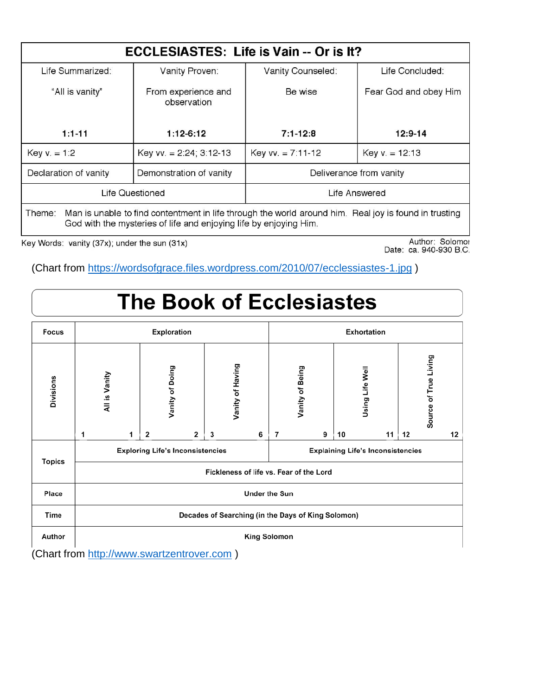| ECCLESIASTES: Life is Vain -- Or is It?                                                                                                                                              |                                    |                         |                       |  |  |  |  |
|--------------------------------------------------------------------------------------------------------------------------------------------------------------------------------------|------------------------------------|-------------------------|-----------------------|--|--|--|--|
| Life Summarized:                                                                                                                                                                     | Vanity Proven:                     | Vanity Counseled:       | Life Concluded:       |  |  |  |  |
| "All is vanity"                                                                                                                                                                      | From experience and<br>observation | Be wise                 | Fear God and obey Him |  |  |  |  |
| $1:1-11$                                                                                                                                                                             | $1:12-6:12$                        | $7:1 - 12:8$            | $12:9-14$             |  |  |  |  |
| Key $v = 1:2$                                                                                                                                                                        | Key vv. $= 2.24$ ; 3:12-13         | Key vv. $= 7.11 - 12$   | Key $v = 12:13$       |  |  |  |  |
| Declaration of vanity                                                                                                                                                                | Demonstration of vanity            | Deliverance from vanity |                       |  |  |  |  |
|                                                                                                                                                                                      | Life Questioned                    | Life Answered           |                       |  |  |  |  |
| Man is unable to find contentment in life through the world around him. Real joy is found in trusting<br>Theme:<br>God with the mysteries of life and enjoying life by enjoying Him. |                                    |                         |                       |  |  |  |  |

Key Words: vanity (37x); under the sun (31x)

Author: Solomor<br>Date: ca. 940-930 B.C.

(Chart from<https://wordsofgrace.files.wordpress.com/2010/07/ecclessiastes-1.jpg> )

## **The Book of Ecclesiastes**

| Focus         | Exploration                                        |   |                 |                | Exhortation      |                                          |   |                 |   |                 |    |    |                       |    |
|---------------|----------------------------------------------------|---|-----------------|----------------|------------------|------------------------------------------|---|-----------------|---|-----------------|----|----|-----------------------|----|
| Divisions     | All is Vanity                                      |   | Vanity of Doing |                | Vanity of Having |                                          |   | Vanity of Being |   | Using Life Well |    |    | Source of True Living |    |
|               | 1                                                  | 1 | $\overline{2}$  | $\overline{2}$ | 3                | 6                                        | 7 |                 | 9 | 10              | 11 | 12 |                       | 12 |
| <b>Topics</b> | <b>Exploring Life's Inconsistencies</b>            |   |                 |                |                  | <b>Explaining Life's Inconsistencies</b> |   |                 |   |                 |    |    |                       |    |
|               | Fickleness of life vs. Fear of the Lord            |   |                 |                |                  |                                          |   |                 |   |                 |    |    |                       |    |
| Place         | <b>Under the Sun</b>                               |   |                 |                |                  |                                          |   |                 |   |                 |    |    |                       |    |
| Time          | Decades of Searching (in the Days of King Solomon) |   |                 |                |                  |                                          |   |                 |   |                 |    |    |                       |    |
| Author        | King Solomon                                       |   |                 |                |                  |                                          |   |                 |   |                 |    |    |                       |    |

(Chart from [http://www.swartzentrover.com](http://www.swartzentrover.com/) )